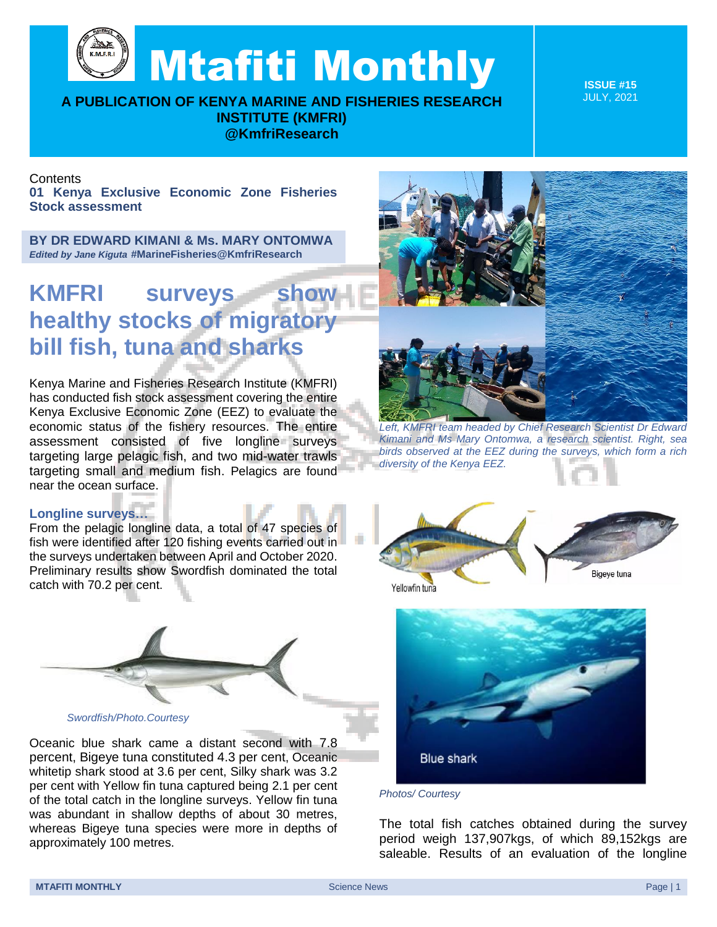Mtafiti Monthly

**A PUBLICATION OF KENYA MARINE AND FISHERIES RESEARCH INSTITUTE (KMFRI) @KmfriResearch**

**ISSUE #15** JULY, 2021

## **Contents**

**01 Kenya Exclusive Economic Zone Fisheries Stock assessment**

**BY DR EDWARD KIMANI & Ms. MARY ONTOMWA**  *Edited by Jane Kiguta* **#MarineFisheries@KmfriResearch**

## **KMFRI surveys show healthy stocks of migratory bill fish, tuna and sharks**

Kenya Marine and Fisheries Research Institute (KMFRI) has conducted fish stock assessment covering the entire Kenya Exclusive Economic Zone (EEZ) to evaluate the economic status of the fishery resources. The entire assessment consisted of five longline surveys targeting large pelagic fish, and two mid-water trawls targeting small and medium fish. Pelagics are found near the ocean surface.



*Left, KMFRI team headed by Chief Research Scientist Dr Edward Kimani and Ms Mary Ontomwa, a research scientist. Right, sea birds observed at the EEZ during the surveys, which form a rich diversity of the Kenya EEZ.*

## **Longline surveys…**

From the pelagic longline data, a total of 47 species of fish were identified after 120 fishing events carried out in the surveys undertaken between April and October 2020. Preliminary results show Swordfish dominated the total catch with 70.2 per cent.



*Swordfish/Photo.Courtesy*

Oceanic blue shark came a distant second with 7.8 percent, Bigeye tuna constituted 4.3 per cent, Oceanic whitetip shark stood at 3.6 per cent, Silky shark was 3.2 per cent with Yellow fin tuna captured being 2.1 per cent of the total catch in the longline surveys. Yellow fin tuna was abundant in shallow depths of about 30 metres, whereas Bigeye tuna species were more in depths of approximately 100 metres.





*Photos/ Courtesy*

The total fish catches obtained during the survey period weigh 137,907kgs, of which 89,152kgs are saleable. Results of an evaluation of the longline